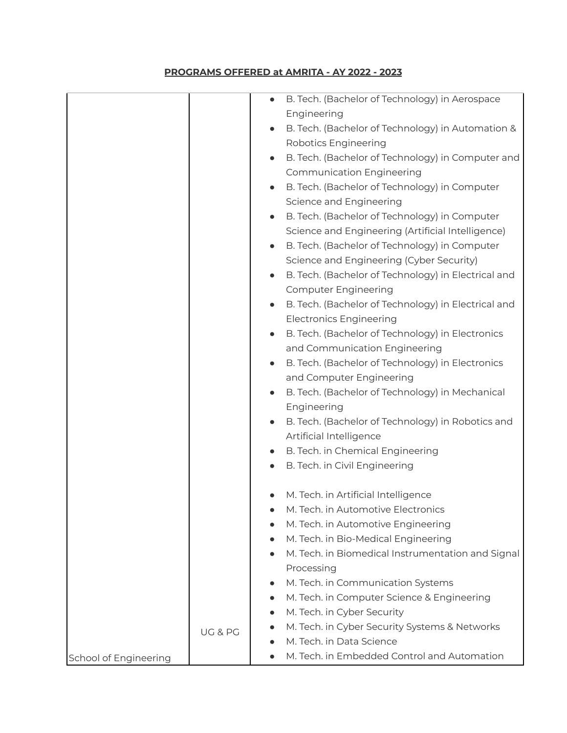## **PROGRAMS OFFERED at AMRITA - AY 2022 - 2023**

|                       |         |           | B. Tech. (Bachelor of Technology) in Aerospace      |
|-----------------------|---------|-----------|-----------------------------------------------------|
|                       |         |           | Engineering                                         |
|                       |         |           | B. Tech. (Bachelor of Technology) in Automation &   |
|                       |         |           | <b>Robotics Engineering</b>                         |
|                       |         |           | B. Tech. (Bachelor of Technology) in Computer and   |
|                       |         |           | <b>Communication Engineering</b>                    |
|                       |         |           | B. Tech. (Bachelor of Technology) in Computer       |
|                       |         |           | Science and Engineering                             |
|                       |         | $\bullet$ | B. Tech. (Bachelor of Technology) in Computer       |
|                       |         |           | Science and Engineering (Artificial Intelligence)   |
|                       |         |           | B. Tech. (Bachelor of Technology) in Computer       |
|                       |         |           | Science and Engineering (Cyber Security)            |
|                       |         | $\bullet$ | B. Tech. (Bachelor of Technology) in Electrical and |
|                       |         |           | <b>Computer Engineering</b>                         |
|                       |         | $\bullet$ | B. Tech. (Bachelor of Technology) in Electrical and |
|                       |         |           | <b>Electronics Engineering</b>                      |
|                       |         |           | B. Tech. (Bachelor of Technology) in Electronics    |
|                       |         |           | and Communication Engineering                       |
|                       |         | $\bullet$ | B. Tech. (Bachelor of Technology) in Electronics    |
|                       |         |           | and Computer Engineering                            |
|                       |         |           | B. Tech. (Bachelor of Technology) in Mechanical     |
|                       |         |           | Engineering                                         |
|                       |         |           | B. Tech. (Bachelor of Technology) in Robotics and   |
|                       |         |           | Artificial Intelligence                             |
|                       |         |           | B. Tech. in Chemical Engineering                    |
|                       |         |           | B. Tech. in Civil Engineering                       |
|                       |         |           |                                                     |
|                       |         |           | M. Tech. in Artificial Intelligence                 |
|                       |         | $\bullet$ | M. Tech. in Automotive Electronics                  |
|                       |         |           | M. Tech. in Automotive Engineering                  |
|                       |         | $\bullet$ | M. Tech. in Bio-Medical Engineering                 |
|                       |         |           | M. Tech. in Biomedical Instrumentation and Signal   |
|                       |         |           | Processing                                          |
|                       |         |           | M. Tech. in Communication Systems                   |
|                       |         |           | M. Tech. in Computer Science & Engineering          |
|                       |         | $\bullet$ | M. Tech. in Cyber Security                          |
|                       |         |           | M. Tech. in Cyber Security Systems & Networks       |
|                       | UG & PG |           | M. Tech. in Data Science                            |
| School of Engineering |         |           | M. Tech. in Embedded Control and Automation         |
|                       |         |           |                                                     |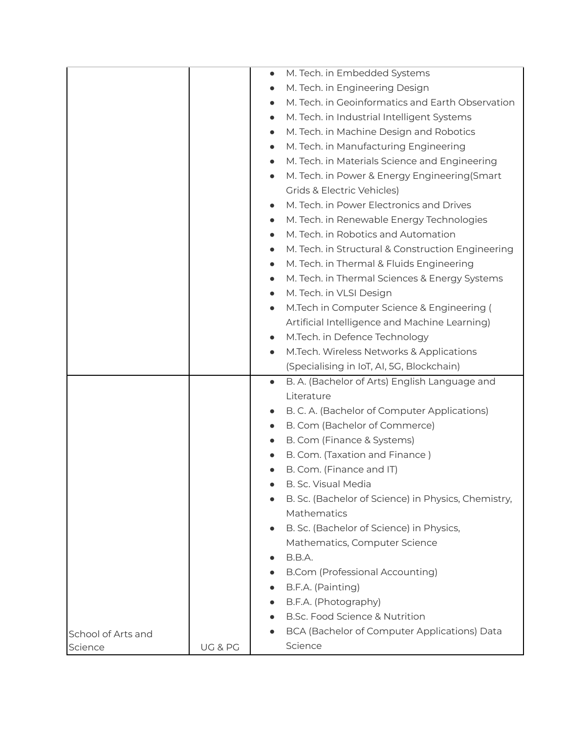|                    |         | M. Tech. in Embedded Systems<br>$\bullet$                      |
|--------------------|---------|----------------------------------------------------------------|
|                    |         | M. Tech. in Engineering Design                                 |
|                    |         | M. Tech. in Geoinformatics and Earth Observation<br>$\bullet$  |
|                    |         | M. Tech. in Industrial Intelligent Systems<br>$\bullet$        |
|                    |         | M. Tech. in Machine Design and Robotics<br>$\bullet$           |
|                    |         | M. Tech. in Manufacturing Engineering<br>$\bullet$             |
|                    |         | M. Tech. in Materials Science and Engineering<br>$\bullet$     |
|                    |         | M. Tech. in Power & Energy Engineering (Smart<br>$\bullet$     |
|                    |         | Grids & Electric Vehicles)                                     |
|                    |         | M. Tech. in Power Electronics and Drives<br>$\bullet$          |
|                    |         | M. Tech. in Renewable Energy Technologies<br>$\bullet$         |
|                    |         | M. Tech. in Robotics and Automation<br>$\bullet$               |
|                    |         | M. Tech. in Structural & Construction Engineering<br>$\bullet$ |
|                    |         | M. Tech. in Thermal & Fluids Engineering<br>$\bullet$          |
|                    |         | M. Tech. in Thermal Sciences & Energy Systems<br>$\bullet$     |
|                    |         | M. Tech. in VLSI Design<br>$\bullet$                           |
|                    |         | M.Tech in Computer Science & Engineering (<br>$\bullet$        |
|                    |         | Artificial Intelligence and Machine Learning)                  |
|                    |         | M.Tech. in Defence Technology<br>$\bullet$                     |
|                    |         | M.Tech. Wireless Networks & Applications<br>$\bullet$          |
|                    |         | (Specialising in IoT, AI, 5G, Blockchain)                      |
|                    |         | B. A. (Bachelor of Arts) English Language and<br>$\bullet$     |
|                    |         | Literature                                                     |
|                    |         | B. C. A. (Bachelor of Computer Applications)                   |
|                    |         | B. Com (Bachelor of Commerce)<br>$\bullet$                     |
|                    |         | B. Com (Finance & Systems)                                     |
|                    |         | B. Com. (Taxation and Finance)                                 |
|                    |         | B. Com. (Finance and IT)                                       |
|                    |         | B. Sc. Visual Media                                            |
|                    |         | B. Sc. (Bachelor of Science) in Physics, Chemistry,            |
|                    |         | Mathematics                                                    |
|                    |         | B. Sc. (Bachelor of Science) in Physics,<br>$\bullet$          |
|                    |         | Mathematics, Computer Science                                  |
|                    |         | B.B.A.                                                         |
|                    |         | B.Com (Professional Accounting)                                |
|                    |         | B.F.A. (Painting)                                              |
|                    |         | B.F.A. (Photography)                                           |
|                    |         | B.Sc. Food Science & Nutrition                                 |
| School of Arts and |         | BCA (Bachelor of Computer Applications) Data                   |
| Science            | UG & PG | Science                                                        |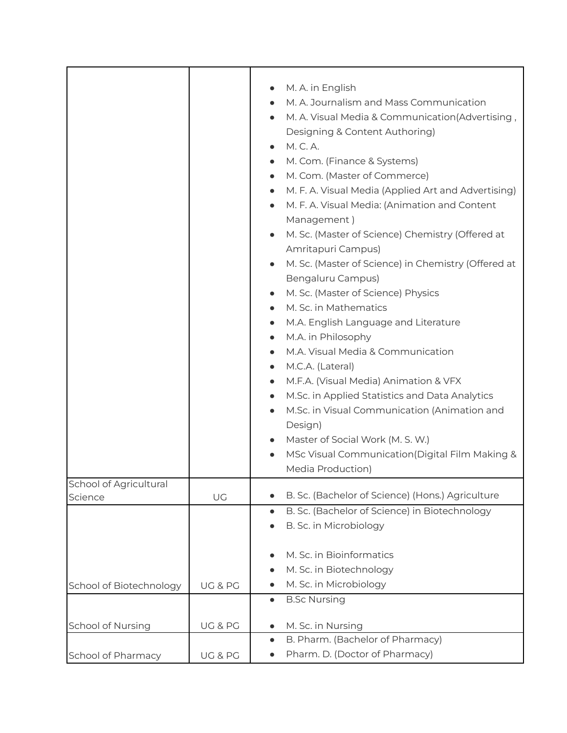|                                   |         | M. A. in English<br>$\bullet$<br>M. A. Journalism and Mass Communication<br>M. A. Visual Media & Communication(Advertising,<br>$\bullet$<br>Designing & Content Authoring)<br>M. C. A.<br>$\bullet$<br>M. Com. (Finance & Systems)<br>$\bullet$<br>M. Com. (Master of Commerce)<br>$\bullet$<br>M. F. A. Visual Media (Applied Art and Advertising)<br>$\bullet$<br>M. F. A. Visual Media: (Animation and Content<br>$\bullet$<br>Management)<br>M. Sc. (Master of Science) Chemistry (Offered at<br>Amritapuri Campus)<br>M. Sc. (Master of Science) in Chemistry (Offered at<br>Bengaluru Campus)<br>M. Sc. (Master of Science) Physics<br>$\bullet$<br>M. Sc. in Mathematics<br>M.A. English Language and Literature<br>$\bullet$<br>M.A. in Philosophy<br>$\bullet$<br>M.A. Visual Media & Communication<br>$\bullet$<br>M.C.A. (Lateral)<br>$\bullet$<br>M.F.A. (Visual Media) Animation & VFX<br>$\bullet$<br>M.Sc. in Applied Statistics and Data Analytics<br>$\bullet$<br>M.Sc. in Visual Communication (Animation and<br>Design)<br>Master of Social Work (M. S. W.)<br>MSc Visual Communication (Digital Film Making &<br>Media Production) |
|-----------------------------------|---------|--------------------------------------------------------------------------------------------------------------------------------------------------------------------------------------------------------------------------------------------------------------------------------------------------------------------------------------------------------------------------------------------------------------------------------------------------------------------------------------------------------------------------------------------------------------------------------------------------------------------------------------------------------------------------------------------------------------------------------------------------------------------------------------------------------------------------------------------------------------------------------------------------------------------------------------------------------------------------------------------------------------------------------------------------------------------------------------------------------------------------------------------------------|
| School of Agricultural<br>Science | UG      | B. Sc. (Bachelor of Science) (Hons.) Agriculture                                                                                                                                                                                                                                                                                                                                                                                                                                                                                                                                                                                                                                                                                                                                                                                                                                                                                                                                                                                                                                                                                                       |
|                                   |         | B. Sc. (Bachelor of Science) in Biotechnology<br>$\bullet$                                                                                                                                                                                                                                                                                                                                                                                                                                                                                                                                                                                                                                                                                                                                                                                                                                                                                                                                                                                                                                                                                             |
|                                   |         | B. Sc. in Microbiology                                                                                                                                                                                                                                                                                                                                                                                                                                                                                                                                                                                                                                                                                                                                                                                                                                                                                                                                                                                                                                                                                                                                 |
| School of Biotechnology           | UG & PG | M. Sc. in Bioinformatics<br>M. Sc. in Biotechnology<br>M. Sc. in Microbiology                                                                                                                                                                                                                                                                                                                                                                                                                                                                                                                                                                                                                                                                                                                                                                                                                                                                                                                                                                                                                                                                          |
|                                   |         | <b>B.Sc Nursing</b><br>$\bullet$                                                                                                                                                                                                                                                                                                                                                                                                                                                                                                                                                                                                                                                                                                                                                                                                                                                                                                                                                                                                                                                                                                                       |
| School of Nursing                 | UG & PG | M. Sc. in Nursing<br>$\bullet$                                                                                                                                                                                                                                                                                                                                                                                                                                                                                                                                                                                                                                                                                                                                                                                                                                                                                                                                                                                                                                                                                                                         |
|                                   |         | B. Pharm. (Bachelor of Pharmacy)<br>$\bullet$                                                                                                                                                                                                                                                                                                                                                                                                                                                                                                                                                                                                                                                                                                                                                                                                                                                                                                                                                                                                                                                                                                          |
| School of Pharmacy                | UG & PG | Pharm. D. (Doctor of Pharmacy)                                                                                                                                                                                                                                                                                                                                                                                                                                                                                                                                                                                                                                                                                                                                                                                                                                                                                                                                                                                                                                                                                                                         |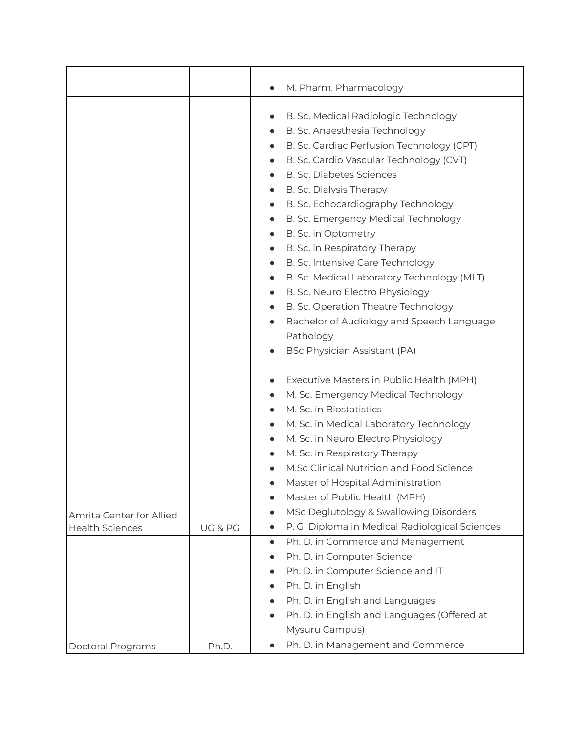|                          |         | M. Pharm. Pharmacology<br>$\bullet$                         |
|--------------------------|---------|-------------------------------------------------------------|
|                          |         |                                                             |
|                          |         | B. Sc. Medical Radiologic Technology                        |
|                          |         | B. Sc. Anaesthesia Technology<br>$\bullet$                  |
|                          |         | B. Sc. Cardiac Perfusion Technology (CPT)                   |
|                          |         | B. Sc. Cardio Vascular Technology (CVT)<br>$\bullet$        |
|                          |         | <b>B. Sc. Diabetes Sciences</b>                             |
|                          |         | B. Sc. Dialysis Therapy<br>$\bullet$                        |
|                          |         | B. Sc. Echocardiography Technology                          |
|                          |         | B. Sc. Emergency Medical Technology<br>$\bullet$            |
|                          |         | B. Sc. in Optometry<br>$\bullet$                            |
|                          |         | B. Sc. in Respiratory Therapy                               |
|                          |         | B. Sc. Intensive Care Technology<br>$\bullet$               |
|                          |         | B. Sc. Medical Laboratory Technology (MLT)<br>$\bullet$     |
|                          |         | B. Sc. Neuro Electro Physiology<br>$\bullet$                |
|                          |         | B. Sc. Operation Theatre Technology<br>$\bullet$            |
|                          |         | Bachelor of Audiology and Speech Language<br>$\bullet$      |
|                          |         | Pathology                                                   |
|                          |         | BSc Physician Assistant (PA)                                |
|                          |         | Executive Masters in Public Health (MPH)                    |
|                          |         | M. Sc. Emergency Medical Technology                         |
|                          |         | M. Sc. in Biostatistics                                     |
|                          |         | M. Sc. in Medical Laboratory Technology                     |
|                          |         | M. Sc. in Neuro Electro Physiology                          |
|                          |         | M. Sc. in Respiratory Therapy                               |
|                          |         | M.Sc Clinical Nutrition and Food Science                    |
|                          |         | Master of Hospital Administration                           |
|                          |         | Master of Public Health (MPH)                               |
| Amrita Center for Allied |         | MSc Deglutology & Swallowing Disorders                      |
| <b>Health Sciences</b>   | UG & PG | P. G. Diploma in Medical Radiological Sciences<br>$\bullet$ |
|                          |         | Ph. D. in Commerce and Management<br>$\bullet$              |
|                          |         | Ph. D. in Computer Science<br>$\bullet$                     |
|                          |         | Ph. D. in Computer Science and IT                           |
|                          |         | Ph. D. in English<br>$\bullet$                              |
|                          |         | Ph. D. in English and Languages                             |
|                          |         | Ph. D. in English and Languages (Offered at<br>$\bullet$    |
|                          |         | Mysuru Campus)                                              |
| Doctoral Programs        | Ph.D.   | Ph. D. in Management and Commerce                           |